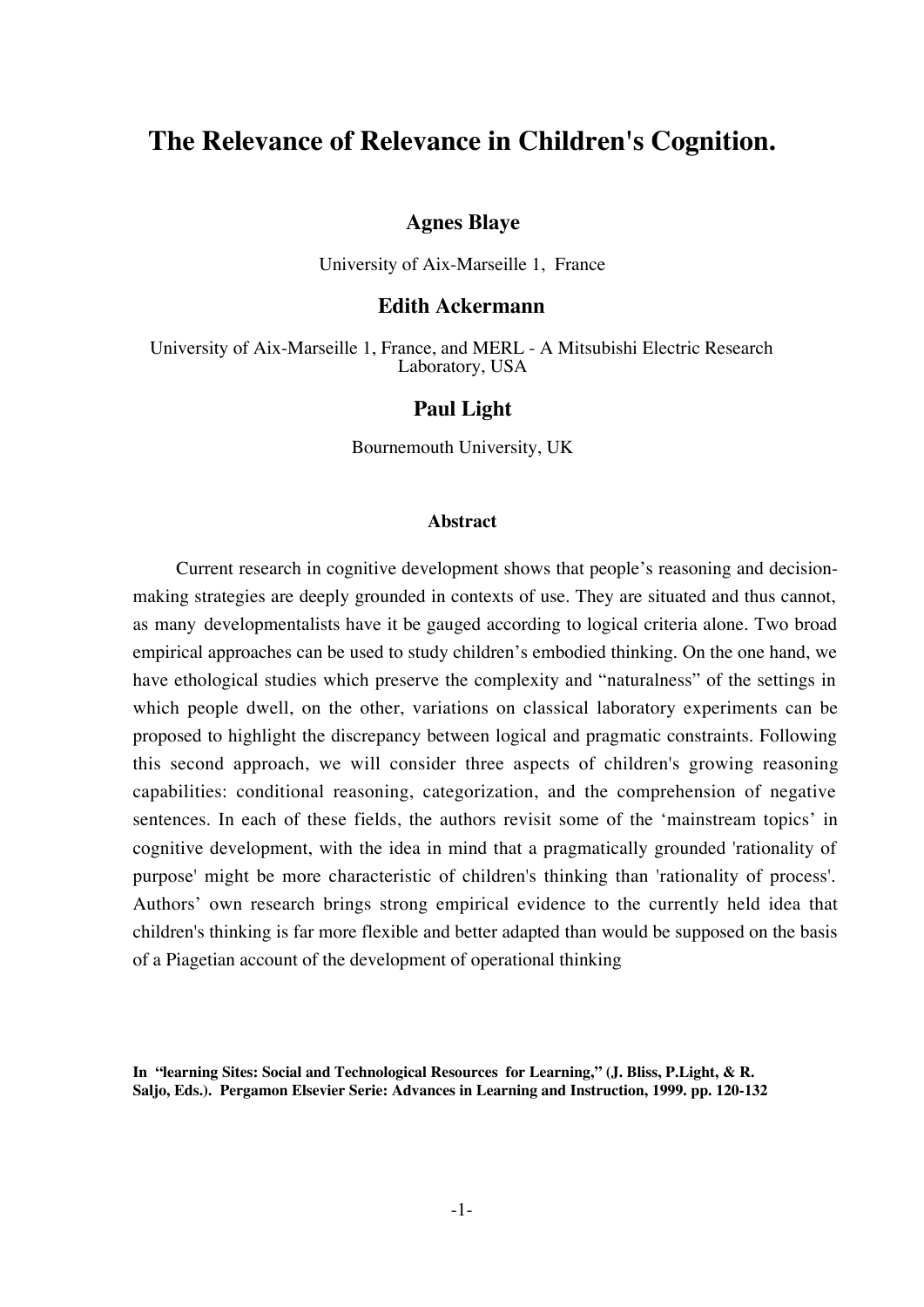# **The Relevance of Relevance in Children's Cognition.**

### **Agnes Blaye**

University of Aix-Marseille 1, France

### **Edith Ackermann**

University of Aix-Marseille 1, France, and MERL - A Mitsubishi Electric Research Laboratory, USA

### **Paul Light**

Bournemouth University, UK

#### **Abstract**

Current research in cognitive development shows that people's reasoning and decisionmaking strategies are deeply grounded in contexts of use. They are situated and thus cannot, as many developmentalists have it be gauged according to logical criteria alone. Two broad empirical approaches can be used to study children's embodied thinking. On the one hand, we have ethological studies which preserve the complexity and "naturalness" of the settings in which people dwell, on the other, variations on classical laboratory experiments can be proposed to highlight the discrepancy between logical and pragmatic constraints. Following this second approach, we will consider three aspects of children's growing reasoning capabilities: conditional reasoning, categorization, and the comprehension of negative sentences. In each of these fields, the authors revisit some of the 'mainstream topics' in cognitive development, with the idea in mind that a pragmatically grounded 'rationality of purpose' might be more characteristic of children's thinking than 'rationality of process'. Authors' own research brings strong empirical evidence to the currently held idea that children's thinking is far more flexible and better adapted than would be supposed on the basis of a Piagetian account of the development of operational thinking

**In "learning Sites: Social and Technological Resources for Learning," (J. Bliss, P.Light, & R. Saljo, Eds.). Pergamon Elsevier Serie: Advances in Learning and Instruction, 1999. pp. 120-132**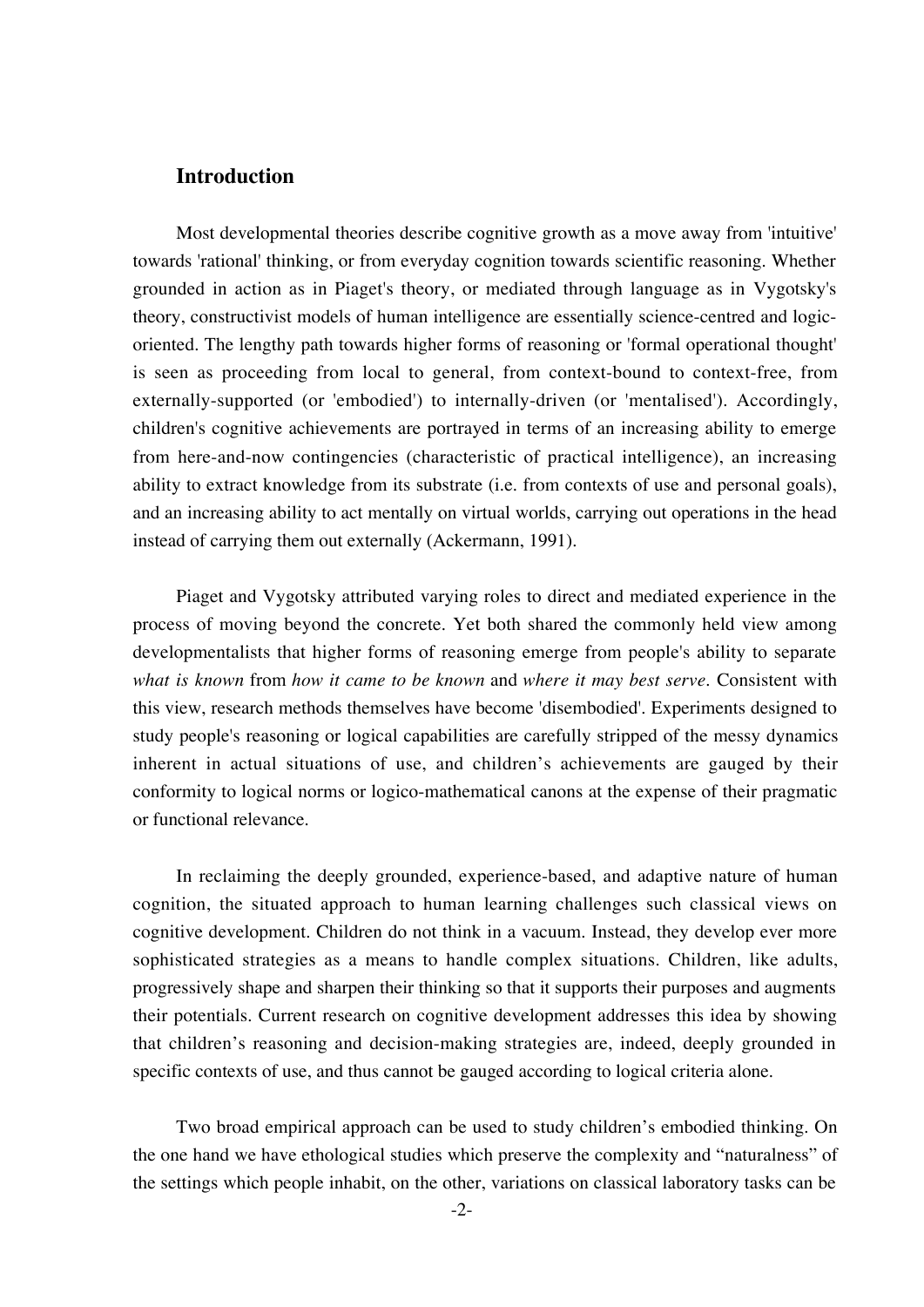### **Introduction**

Most developmental theories describe cognitive growth as a move away from 'intuitive' towards 'rational' thinking, or from everyday cognition towards scientific reasoning. Whether grounded in action as in Piaget's theory, or mediated through language as in Vygotsky's theory, constructivist models of human intelligence are essentially science-centred and logicoriented. The lengthy path towards higher forms of reasoning or 'formal operational thought' is seen as proceeding from local to general, from context-bound to context-free, from externally-supported (or 'embodied') to internally-driven (or 'mentalised'). Accordingly, children's cognitive achievements are portrayed in terms of an increasing ability to emerge from here-and-now contingencies (characteristic of practical intelligence), an increasing ability to extract knowledge from its substrate (i.e. from contexts of use and personal goals), and an increasing ability to act mentally on virtual worlds, carrying out operations in the head instead of carrying them out externally (Ackermann, 1991).

Piaget and Vygotsky attributed varying roles to direct and mediated experience in the process of moving beyond the concrete. Yet both shared the commonly held view among developmentalists that higher forms of reasoning emerge from people's ability to separate *what is known* from *how it came to be known* and *where it may best serve*. Consistent with this view, research methods themselves have become 'disembodied'. Experiments designed to study people's reasoning or logical capabilities are carefully stripped of the messy dynamics inherent in actual situations of use, and children's achievements are gauged by their conformity to logical norms or logico-mathematical canons at the expense of their pragmatic or functional relevance.

In reclaiming the deeply grounded, experience-based, and adaptive nature of human cognition, the situated approach to human learning challenges such classical views on cognitive development. Children do not think in a vacuum. Instead, they develop ever more sophisticated strategies as a means to handle complex situations. Children, like adults, progressively shape and sharpen their thinking so that it supports their purposes and augments their potentials. Current research on cognitive development addresses this idea by showing that children's reasoning and decision-making strategies are, indeed, deeply grounded in specific contexts of use, and thus cannot be gauged according to logical criteria alone.

Two broad empirical approach can be used to study children's embodied thinking. On the one hand we have ethological studies which preserve the complexity and "naturalness" of the settings which people inhabit, on the other, variations on classical laboratory tasks can be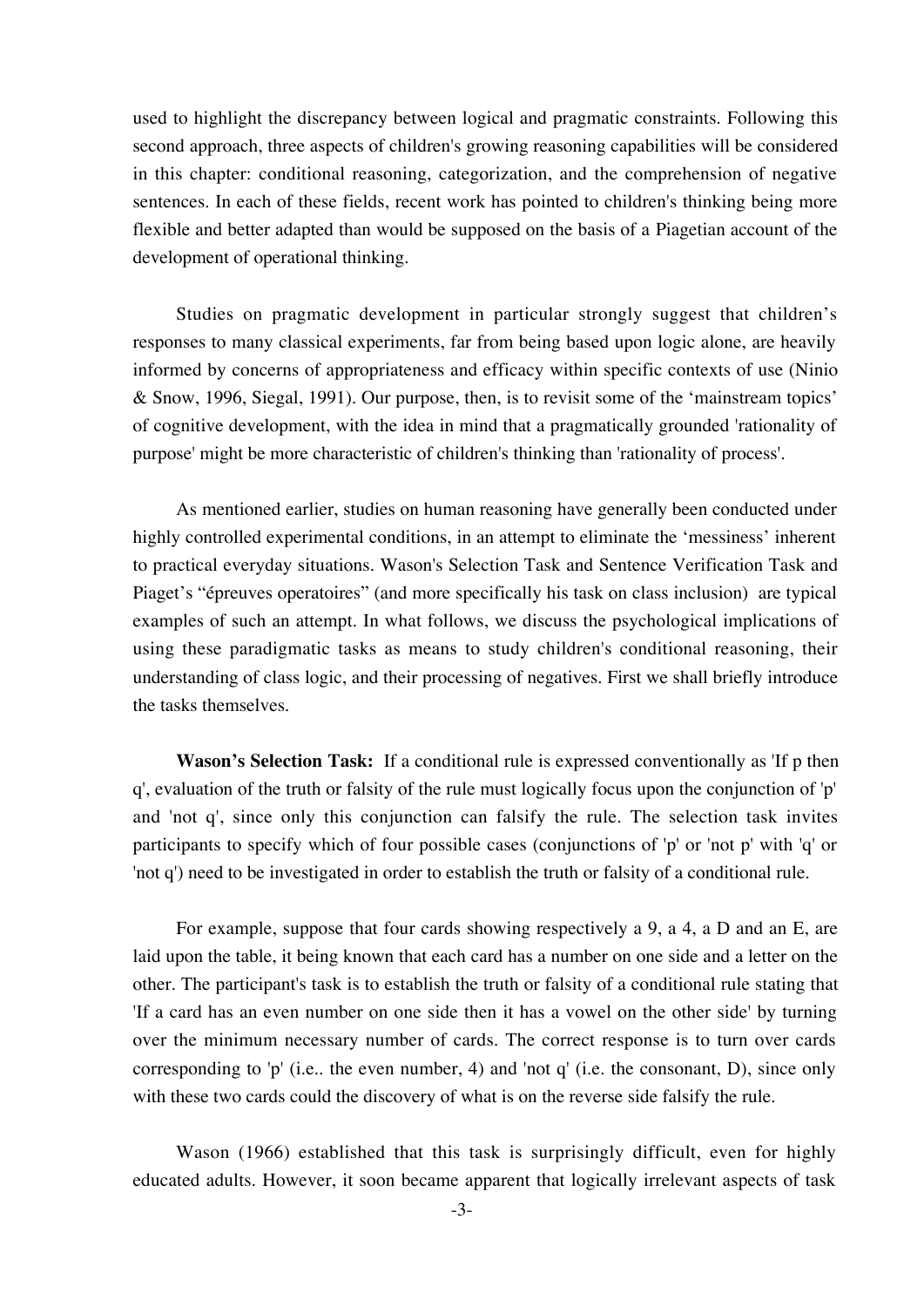used to highlight the discrepancy between logical and pragmatic constraints. Following this second approach, three aspects of children's growing reasoning capabilities will be considered in this chapter: conditional reasoning, categorization, and the comprehension of negative sentences. In each of these fields, recent work has pointed to children's thinking being more flexible and better adapted than would be supposed on the basis of a Piagetian account of the development of operational thinking.

Studies on pragmatic development in particular strongly suggest that children's responses to many classical experiments, far from being based upon logic alone, are heavily informed by concerns of appropriateness and efficacy within specific contexts of use (Ninio & Snow, 1996, Siegal, 1991). Our purpose, then, is to revisit some of the 'mainstream topics' of cognitive development, with the idea in mind that a pragmatically grounded 'rationality of purpose' might be more characteristic of children's thinking than 'rationality of process'.

As mentioned earlier, studies on human reasoning have generally been conducted under highly controlled experimental conditions, in an attempt to eliminate the 'messiness' inherent to practical everyday situations. Wason's Selection Task and Sentence Verification Task and Piaget's "épreuves operatoires" (and more specifically his task on class inclusion) are typical examples of such an attempt. In what follows, we discuss the psychological implications of using these paradigmatic tasks as means to study children's conditional reasoning, their understanding of class logic, and their processing of negatives. First we shall briefly introduce the tasks themselves.

**Wason's Selection Task:** If a conditional rule is expressed conventionally as 'If p then q', evaluation of the truth or falsity of the rule must logically focus upon the conjunction of 'p' and 'not q', since only this conjunction can falsify the rule. The selection task invites participants to specify which of four possible cases (conjunctions of 'p' or 'not p' with 'q' or 'not q') need to be investigated in order to establish the truth or falsity of a conditional rule.

For example, suppose that four cards showing respectively a 9, a 4, a D and an E, are laid upon the table, it being known that each card has a number on one side and a letter on the other. The participant's task is to establish the truth or falsity of a conditional rule stating that 'If a card has an even number on one side then it has a vowel on the other side' by turning over the minimum necessary number of cards. The correct response is to turn over cards corresponding to 'p' (i.e.. the even number, 4) and 'not q' (i.e. the consonant, D), since only with these two cards could the discovery of what is on the reverse side falsify the rule.

Wason (1966) established that this task is surprisingly difficult, even for highly educated adults. However, it soon became apparent that logically irrelevant aspects of task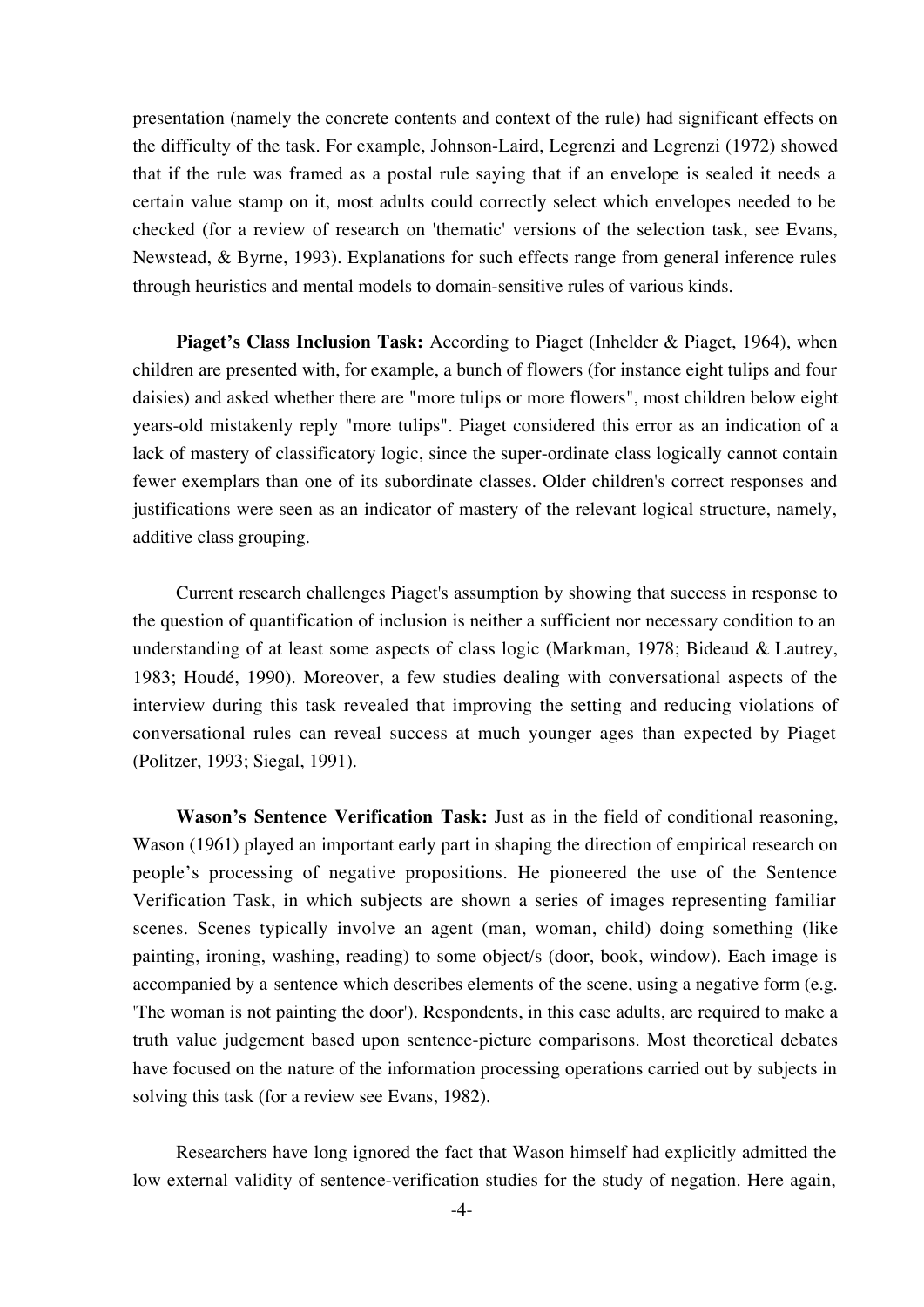presentation (namely the concrete contents and context of the rule) had significant effects on the difficulty of the task. For example, Johnson-Laird, Legrenzi and Legrenzi (1972) showed that if the rule was framed as a postal rule saying that if an envelope is sealed it needs a certain value stamp on it, most adults could correctly select which envelopes needed to be checked (for a review of research on 'thematic' versions of the selection task, see Evans, Newstead, & Byrne, 1993). Explanations for such effects range from general inference rules through heuristics and mental models to domain-sensitive rules of various kinds.

**Piaget's Class Inclusion Task:** According to Piaget (Inhelder & Piaget, 1964), when children are presented with, for example, a bunch of flowers (for instance eight tulips and four daisies) and asked whether there are "more tulips or more flowers", most children below eight years-old mistakenly reply "more tulips". Piaget considered this error as an indication of a lack of mastery of classificatory logic, since the super-ordinate class logically cannot contain fewer exemplars than one of its subordinate classes. Older children's correct responses and justifications were seen as an indicator of mastery of the relevant logical structure, namely, additive class grouping.

Current research challenges Piaget's assumption by showing that success in response to the question of quantification of inclusion is neither a sufficient nor necessary condition to an understanding of at least some aspects of class logic (Markman, 1978; Bideaud & Lautrey, 1983; Houdé, 1990). Moreover, a few studies dealing with conversational aspects of the interview during this task revealed that improving the setting and reducing violations of conversational rules can reveal success at much younger ages than expected by Piaget (Politzer, 1993; Siegal, 1991).

**Wason's Sentence Verification Task:** Just as in the field of conditional reasoning, Wason (1961) played an important early part in shaping the direction of empirical research on people's processing of negative propositions. He pioneered the use of the Sentence Verification Task, in which subjects are shown a series of images representing familiar scenes. Scenes typically involve an agent (man, woman, child) doing something (like painting, ironing, washing, reading) to some object/s (door, book, window). Each image is accompanied by a sentence which describes elements of the scene, using a negative form (e.g. 'The woman is not painting the door'). Respondents, in this case adults, are required to make a truth value judgement based upon sentence-picture comparisons. Most theoretical debates have focused on the nature of the information processing operations carried out by subjects in solving this task (for a review see Evans, 1982).

Researchers have long ignored the fact that Wason himself had explicitly admitted the low external validity of sentence-verification studies for the study of negation. Here again,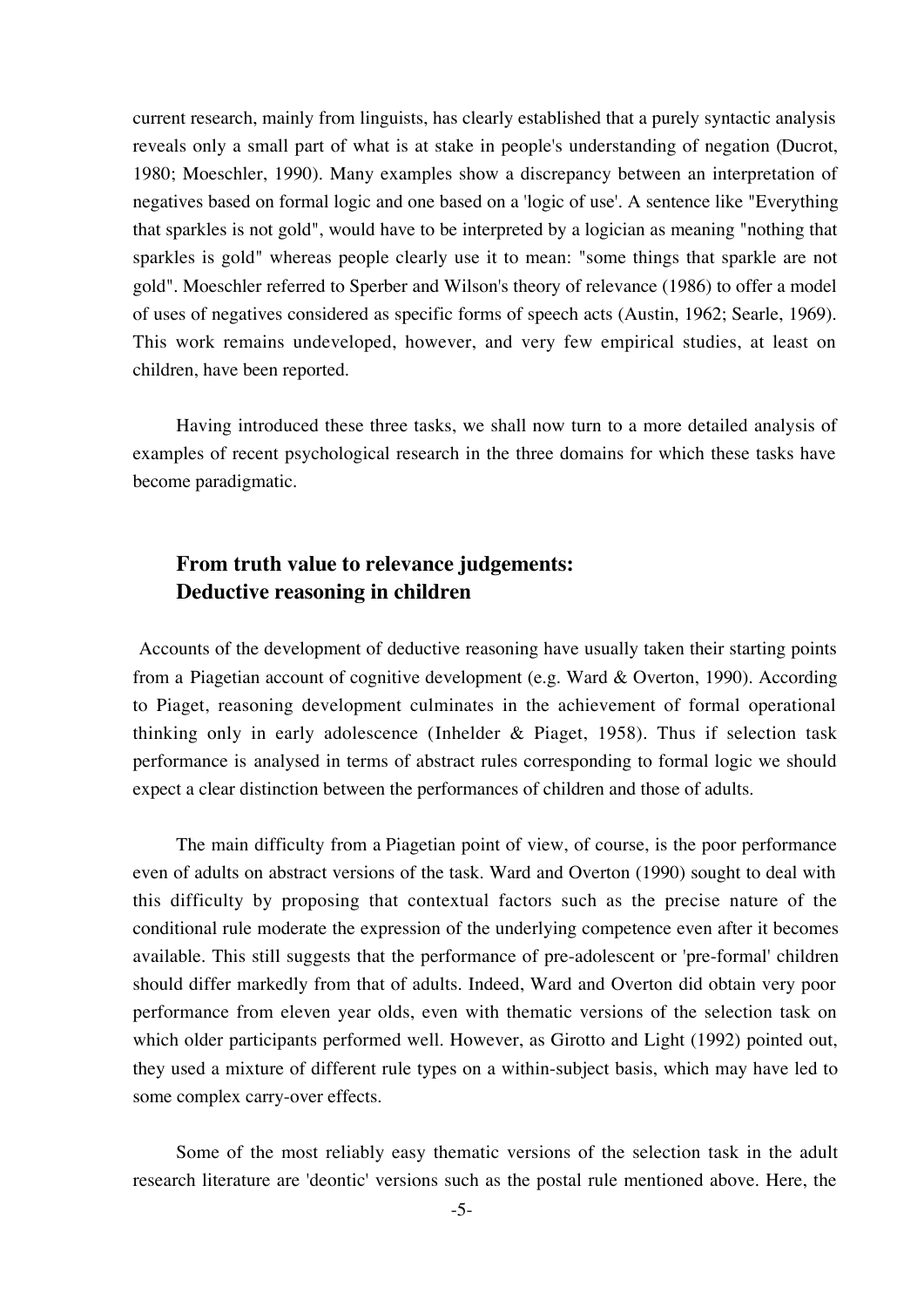current research, mainly from linguists, has clearly established that a purely syntactic analysis reveals only a small part of what is at stake in people's understanding of negation (Ducrot, 1980; Moeschler, 1990). Many examples show a discrepancy between an interpretation of negatives based on formal logic and one based on a 'logic of use'. A sentence like "Everything that sparkles is not gold", would have to be interpreted by a logician as meaning "nothing that sparkles is gold" whereas people clearly use it to mean: "some things that sparkle are not gold". Moeschler referred to Sperber and Wilson's theory of relevance (1986) to offer a model of uses of negatives considered as specific forms of speech acts (Austin, 1962; Searle, 1969). This work remains undeveloped, however, and very few empirical studies, at least on children, have been reported.

Having introduced these three tasks, we shall now turn to a more detailed analysis of examples of recent psychological research in the three domains for which these tasks have become paradigmatic.

## **From truth value to relevance judgements: Deductive reasoning in children**

Accounts of the development of deductive reasoning have usually taken their starting points from a Piagetian account of cognitive development (e.g. Ward & Overton, 1990). According to Piaget, reasoning development culminates in the achievement of formal operational thinking only in early adolescence (Inhelder & Piaget, 1958). Thus if selection task performance is analysed in terms of abstract rules corresponding to formal logic we should expect a clear distinction between the performances of children and those of adults.

The main difficulty from a Piagetian point of view, of course, is the poor performance even of adults on abstract versions of the task. Ward and Overton (1990) sought to deal with this difficulty by proposing that contextual factors such as the precise nature of the conditional rule moderate the expression of the underlying competence even after it becomes available. This still suggests that the performance of pre-adolescent or 'pre-formal' children should differ markedly from that of adults. Indeed, Ward and Overton did obtain very poor performance from eleven year olds, even with thematic versions of the selection task on which older participants performed well. However, as Girotto and Light (1992) pointed out, they used a mixture of different rule types on a within-subject basis, which may have led to some complex carry-over effects.

Some of the most reliably easy thematic versions of the selection task in the adult research literature are 'deontic' versions such as the postal rule mentioned above. Here, the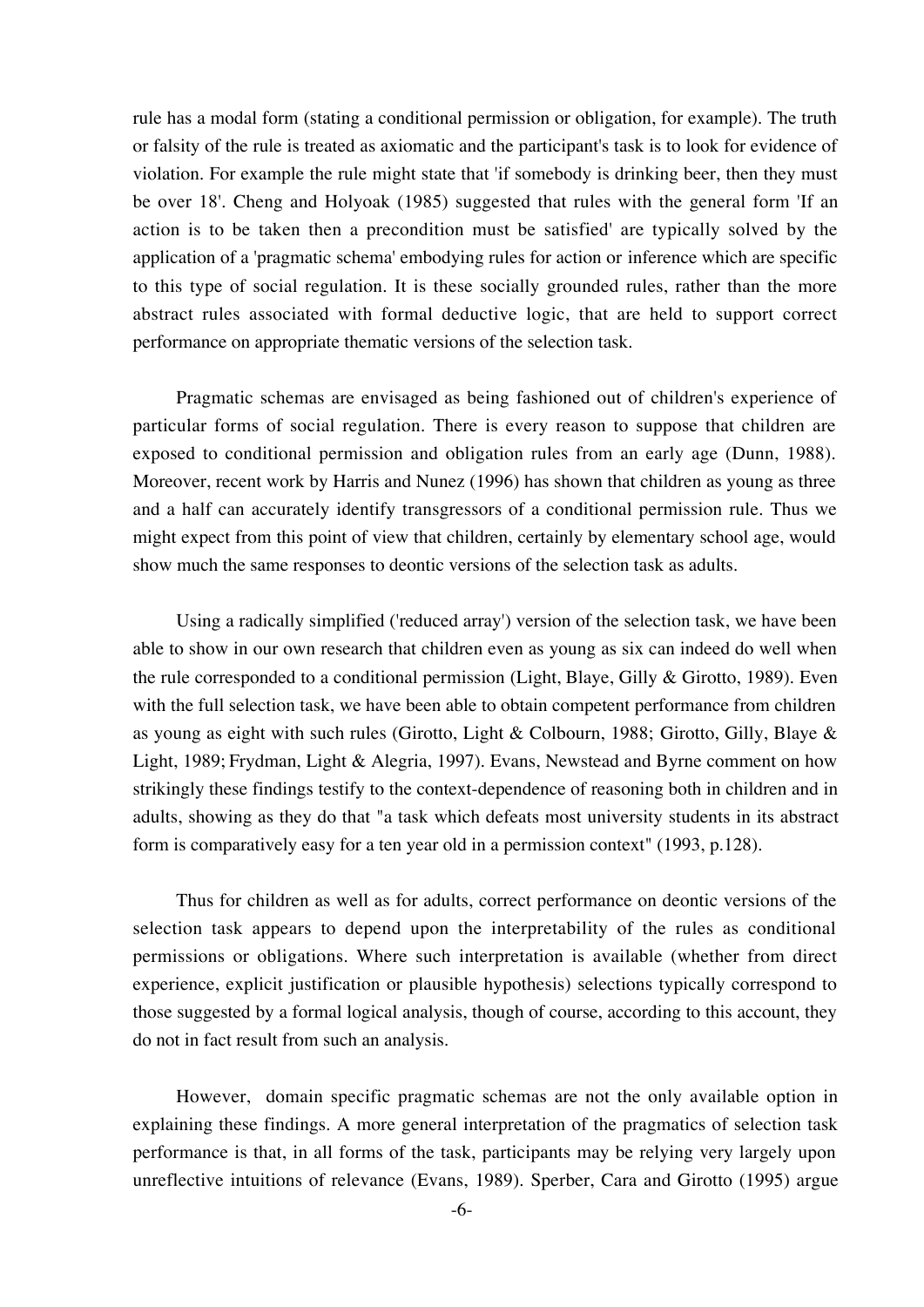rule has a modal form (stating a conditional permission or obligation, for example). The truth or falsity of the rule is treated as axiomatic and the participant's task is to look for evidence of violation. For example the rule might state that 'if somebody is drinking beer, then they must be over 18'. Cheng and Holyoak (1985) suggested that rules with the general form 'If an action is to be taken then a precondition must be satisfied' are typically solved by the application of a 'pragmatic schema' embodying rules for action or inference which are specific to this type of social regulation. It is these socially grounded rules, rather than the more abstract rules associated with formal deductive logic, that are held to support correct performance on appropriate thematic versions of the selection task.

Pragmatic schemas are envisaged as being fashioned out of children's experience of particular forms of social regulation. There is every reason to suppose that children are exposed to conditional permission and obligation rules from an early age (Dunn, 1988). Moreover, recent work by Harris and Nunez (1996) has shown that children as young as three and a half can accurately identify transgressors of a conditional permission rule. Thus we might expect from this point of view that children, certainly by elementary school age, would show much the same responses to deontic versions of the selection task as adults.

Using a radically simplified ('reduced array') version of the selection task, we have been able to show in our own research that children even as young as six can indeed do well when the rule corresponded to a conditional permission (Light, Blaye, Gilly & Girotto, 1989). Even with the full selection task, we have been able to obtain competent performance from children as young as eight with such rules (Girotto, Light & Colbourn, 1988; Girotto, Gilly, Blaye & Light, 1989; Frydman, Light & Alegria, 1997). Evans, Newstead and Byrne comment on how strikingly these findings testify to the context-dependence of reasoning both in children and in adults, showing as they do that "a task which defeats most university students in its abstract form is comparatively easy for a ten year old in a permission context" (1993, p.128).

Thus for children as well as for adults, correct performance on deontic versions of the selection task appears to depend upon the interpretability of the rules as conditional permissions or obligations. Where such interpretation is available (whether from direct experience, explicit justification or plausible hypothesis) selections typically correspond to those suggested by a formal logical analysis, though of course, according to this account, they do not in fact result from such an analysis.

However, domain specific pragmatic schemas are not the only available option in explaining these findings. A more general interpretation of the pragmatics of selection task performance is that, in all forms of the task, participants may be relying very largely upon unreflective intuitions of relevance (Evans, 1989). Sperber, Cara and Girotto (1995) argue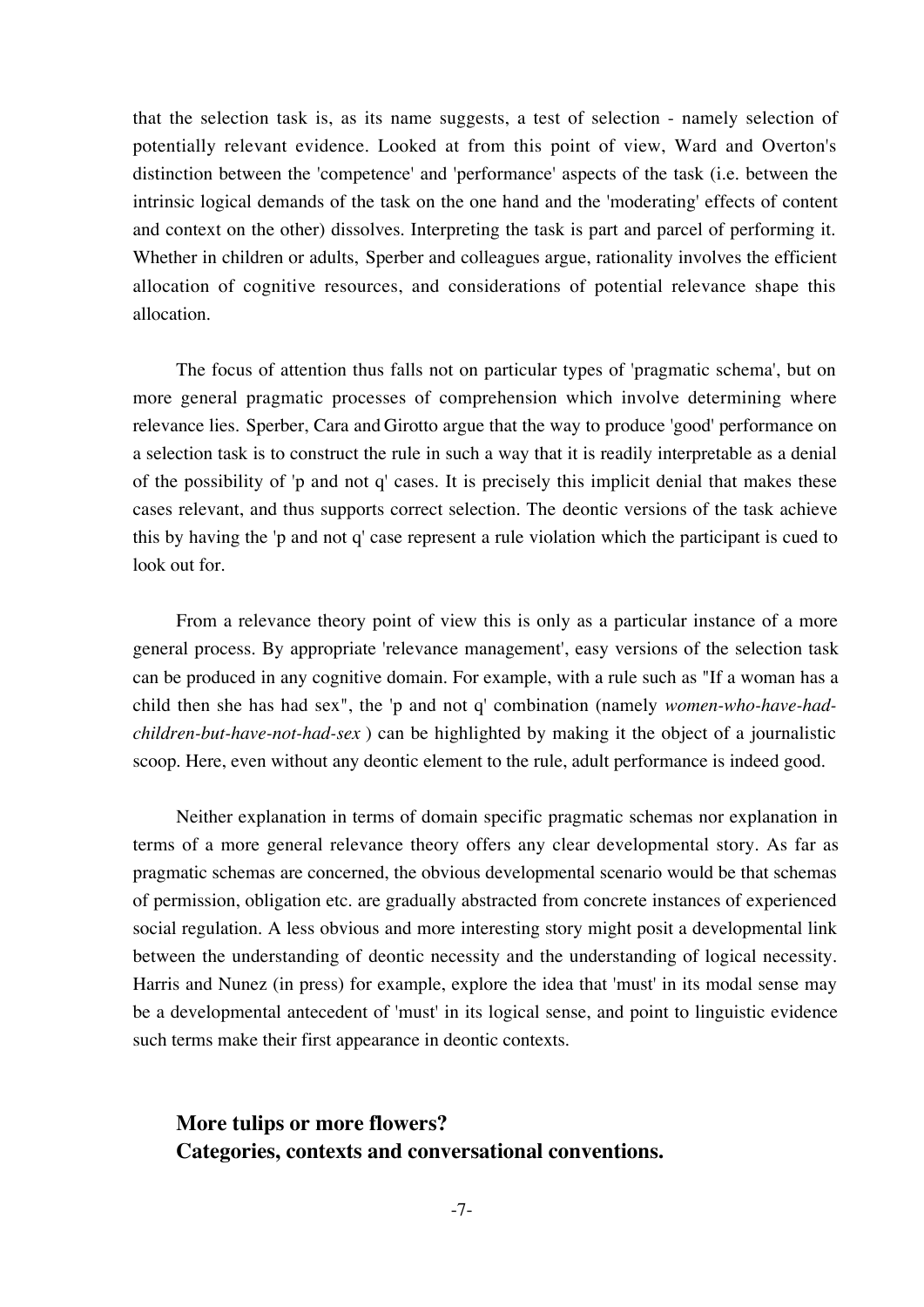that the selection task is, as its name suggests, a test of selection - namely selection of potentially relevant evidence. Looked at from this point of view, Ward and Overton's distinction between the 'competence' and 'performance' aspects of the task (i.e. between the intrinsic logical demands of the task on the one hand and the 'moderating' effects of content and context on the other) dissolves. Interpreting the task is part and parcel of performing it. Whether in children or adults, Sperber and colleagues argue, rationality involves the efficient allocation of cognitive resources, and considerations of potential relevance shape this allocation.

The focus of attention thus falls not on particular types of 'pragmatic schema', but on more general pragmatic processes of comprehension which involve determining where relevance lies. Sperber, Cara and Girotto argue that the way to produce 'good' performance on a selection task is to construct the rule in such a way that it is readily interpretable as a denial of the possibility of 'p and not q' cases. It is precisely this implicit denial that makes these cases relevant, and thus supports correct selection. The deontic versions of the task achieve this by having the 'p and not q' case represent a rule violation which the participant is cued to look out for.

From a relevance theory point of view this is only as a particular instance of a more general process. By appropriate 'relevance management', easy versions of the selection task can be produced in any cognitive domain. For example, with a rule such as "If a woman has a child then she has had sex", the 'p and not q' combination (namely *women-who-have-hadchildren-but-have-not-had-sex* ) can be highlighted by making it the object of a journalistic scoop. Here, even without any deontic element to the rule, adult performance is indeed good.

Neither explanation in terms of domain specific pragmatic schemas nor explanation in terms of a more general relevance theory offers any clear developmental story. As far as pragmatic schemas are concerned, the obvious developmental scenario would be that schemas of permission, obligation etc. are gradually abstracted from concrete instances of experienced social regulation. A less obvious and more interesting story might posit a developmental link between the understanding of deontic necessity and the understanding of logical necessity. Harris and Nunez (in press) for example, explore the idea that 'must' in its modal sense may be a developmental antecedent of 'must' in its logical sense, and point to linguistic evidence such terms make their first appearance in deontic contexts.

## **More tulips or more flowers? Categories, contexts and conversational conventions.**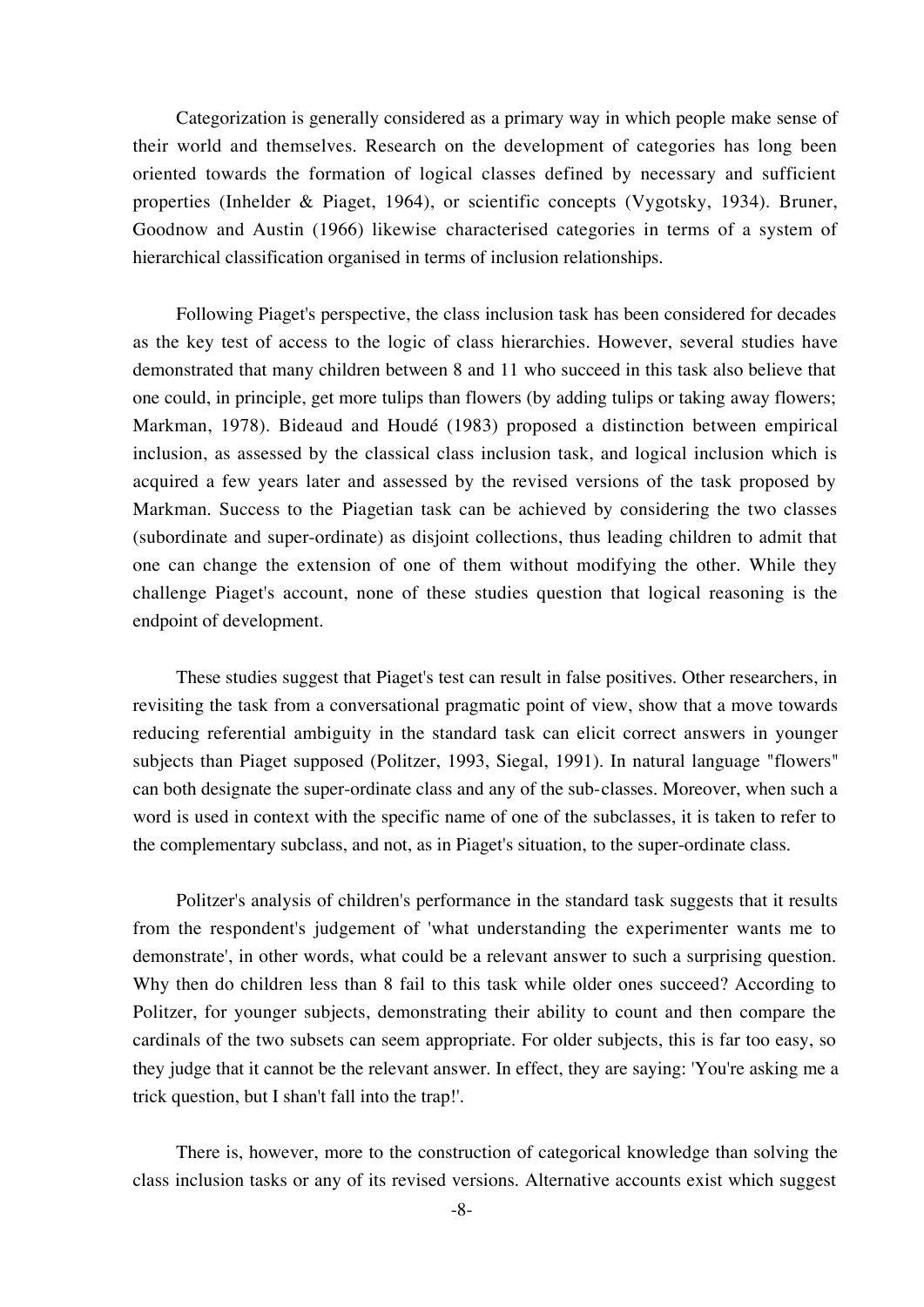Categorization is generally considered as a primary way in which people make sense of their world and themselves. Research on the development of categories has long been oriented towards the formation of logical classes defined by necessary and sufficient properties (Inhelder & Piaget, 1964), or scientific concepts (Vygotsky, 1934). Bruner, Goodnow and Austin (1966) likewise characterised categories in terms of a system of hierarchical classification organised in terms of inclusion relationships.

Following Piaget's perspective, the class inclusion task has been considered for decades as the key test of access to the logic of class hierarchies. However, several studies have demonstrated that many children between 8 and 11 who succeed in this task also believe that one could, in principle, get more tulips than flowers (by adding tulips or taking away flowers; Markman, 1978). Bideaud and Houdé (1983) proposed a distinction between empirical inclusion, as assessed by the classical class inclusion task, and logical inclusion which is acquired a few years later and assessed by the revised versions of the task proposed by Markman. Success to the Piagetian task can be achieved by considering the two classes (subordinate and super-ordinate) as disjoint collections, thus leading children to admit that one can change the extension of one of them without modifying the other. While they challenge Piaget's account, none of these studies question that logical reasoning is the endpoint of development.

These studies suggest that Piaget's test can result in false positives. Other researchers, in revisiting the task from a conversational pragmatic point of view, show that a move towards reducing referential ambiguity in the standard task can elicit correct answers in younger subjects than Piaget supposed (Politzer, 1993, Siegal, 1991). In natural language "flowers" can both designate the super-ordinate class and any of the sub-classes. Moreover, when such a word is used in context with the specific name of one of the subclasses, it is taken to refer to the complementary subclass, and not, as in Piaget's situation, to the super-ordinate class.

Politzer's analysis of children's performance in the standard task suggests that it results from the respondent's judgement of 'what understanding the experimenter wants me to demonstrate', in other words, what could be a relevant answer to such a surprising question. Why then do children less than 8 fail to this task while older ones succeed? According to Politzer, for younger subjects, demonstrating their ability to count and then compare the cardinals of the two subsets can seem appropriate. For older subjects, this is far too easy, so they judge that it cannot be the relevant answer. In effect, they are saying: 'You're asking me a trick question, but I shan't fall into the trap!'.

There is, however, more to the construction of categorical knowledge than solving the class inclusion tasks or any of its revised versions. Alternative accounts exist which suggest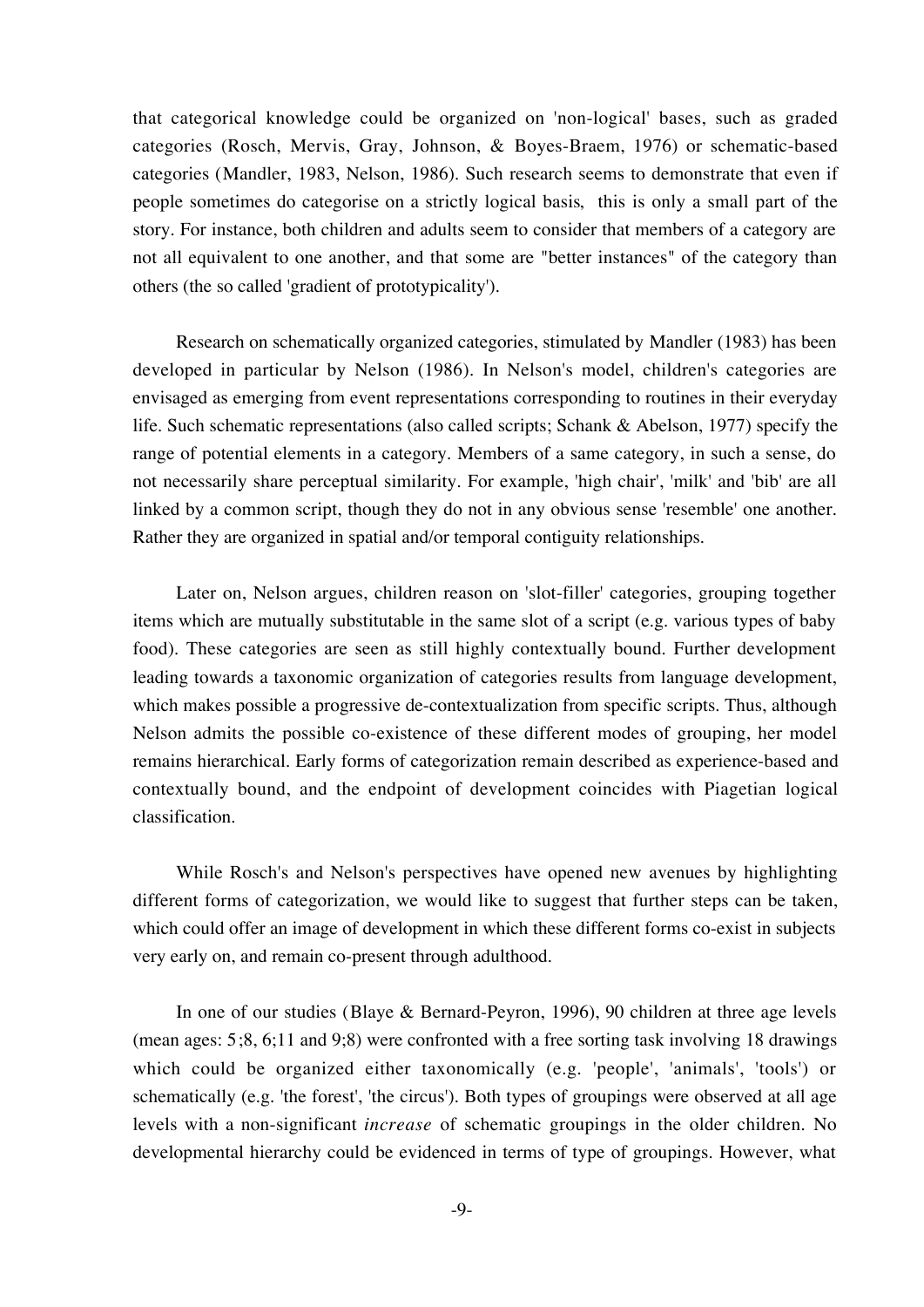that categorical knowledge could be organized on 'non-logical' bases, such as graded categories (Rosch, Mervis, Gray, Johnson, & Boyes-Braem, 1976) or schematic-based categories (Mandler, 1983, Nelson, 1986). Such research seems to demonstrate that even if people sometimes do categorise on a strictly logical basis, this is only a small part of the story. For instance, both children and adults seem to consider that members of a category are not all equivalent to one another, and that some are "better instances" of the category than others (the so called 'gradient of prototypicality').

Research on schematically organized categories, stimulated by Mandler (1983) has been developed in particular by Nelson (1986). In Nelson's model, children's categories are envisaged as emerging from event representations corresponding to routines in their everyday life. Such schematic representations (also called scripts; Schank & Abelson, 1977) specify the range of potential elements in a category. Members of a same category, in such a sense, do not necessarily share perceptual similarity. For example, 'high chair', 'milk' and 'bib' are all linked by a common script, though they do not in any obvious sense 'resemble' one another. Rather they are organized in spatial and/or temporal contiguity relationships.

Later on, Nelson argues, children reason on 'slot-filler' categories, grouping together items which are mutually substitutable in the same slot of a script (e.g. various types of baby food). These categories are seen as still highly contextually bound. Further development leading towards a taxonomic organization of categories results from language development, which makes possible a progressive de-contextualization from specific scripts. Thus, although Nelson admits the possible co-existence of these different modes of grouping, her model remains hierarchical. Early forms of categorization remain described as experience-based and contextually bound, and the endpoint of development coincides with Piagetian logical classification.

While Rosch's and Nelson's perspectives have opened new avenues by highlighting different forms of categorization, we would like to suggest that further steps can be taken, which could offer an image of development in which these different forms co-exist in subjects very early on, and remain co-present through adulthood.

In one of our studies (Blaye & Bernard-Peyron, 1996), 90 children at three age levels (mean ages: 5;8, 6;11 and 9;8) were confronted with a free sorting task involving 18 drawings which could be organized either taxonomically (e.g. 'people', 'animals', 'tools') or schematically (e.g. 'the forest', 'the circus'). Both types of groupings were observed at all age levels with a non-significant *increase* of schematic groupings in the older children. No developmental hierarchy could be evidenced in terms of type of groupings. However, what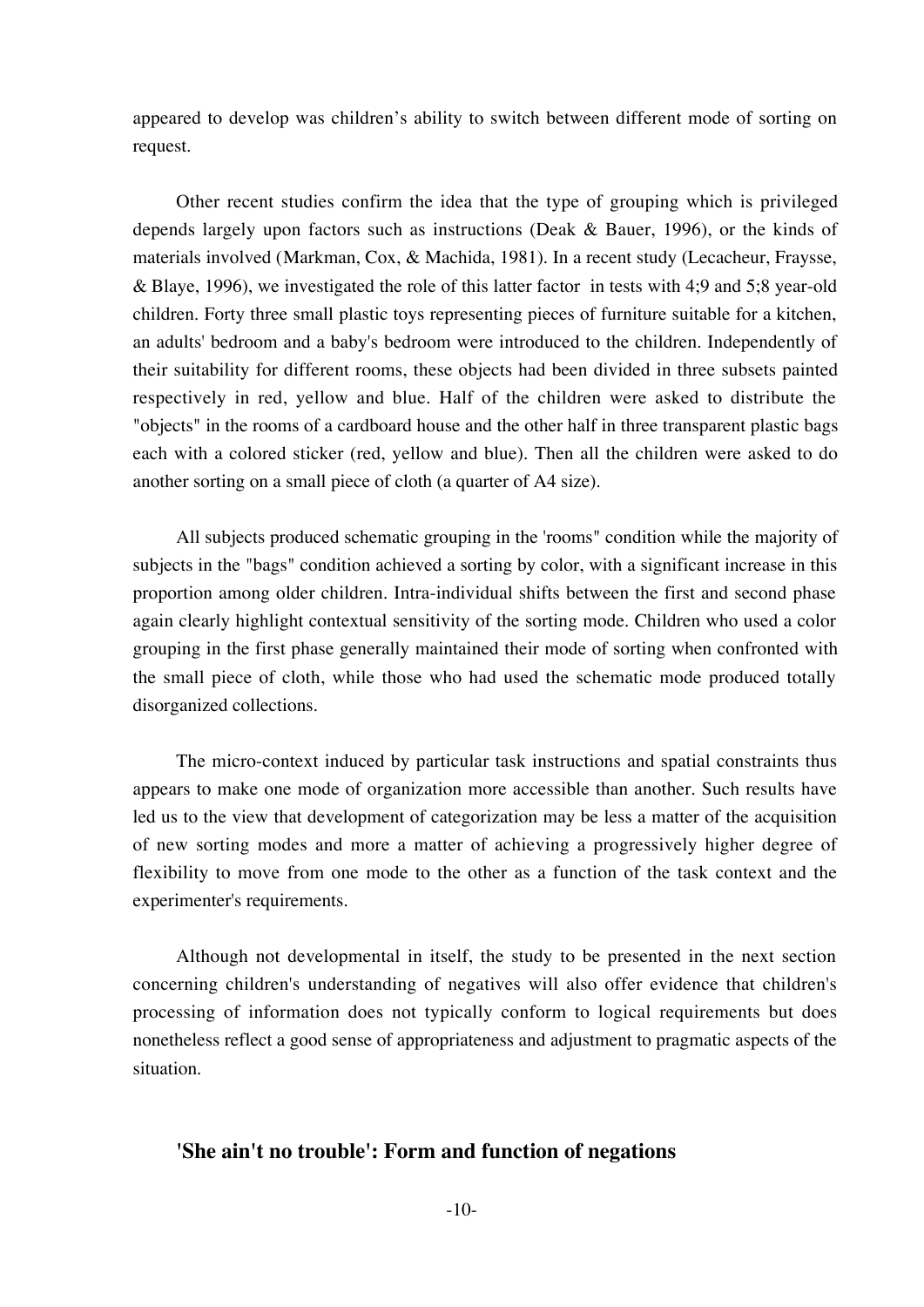appeared to develop was children's ability to switch between different mode of sorting on request.

Other recent studies confirm the idea that the type of grouping which is privileged depends largely upon factors such as instructions (Deak & Bauer, 1996), or the kinds of materials involved (Markman, Cox, & Machida, 1981). In a recent study (Lecacheur, Fraysse, & Blaye, 1996), we investigated the role of this latter factor in tests with 4;9 and 5;8 year-old children. Forty three small plastic toys representing pieces of furniture suitable for a kitchen, an adults' bedroom and a baby's bedroom were introduced to the children. Independently of their suitability for different rooms, these objects had been divided in three subsets painted respectively in red, yellow and blue. Half of the children were asked to distribute the "objects" in the rooms of a cardboard house and the other half in three transparent plastic bags each with a colored sticker (red, yellow and blue). Then all the children were asked to do another sorting on a small piece of cloth (a quarter of A4 size).

All subjects produced schematic grouping in the 'rooms" condition while the majority of subjects in the "bags" condition achieved a sorting by color, with a significant increase in this proportion among older children. Intra-individual shifts between the first and second phase again clearly highlight contextual sensitivity of the sorting mode. Children who used a color grouping in the first phase generally maintained their mode of sorting when confronted with the small piece of cloth, while those who had used the schematic mode produced totally disorganized collections.

The micro-context induced by particular task instructions and spatial constraints thus appears to make one mode of organization more accessible than another. Such results have led us to the view that development of categorization may be less a matter of the acquisition of new sorting modes and more a matter of achieving a progressively higher degree of flexibility to move from one mode to the other as a function of the task context and the experimenter's requirements.

Although not developmental in itself, the study to be presented in the next section concerning children's understanding of negatives will also offer evidence that children's processing of information does not typically conform to logical requirements but does nonetheless reflect a good sense of appropriateness and adjustment to pragmatic aspects of the situation.

### **'She ain't no trouble': Form and function of negations**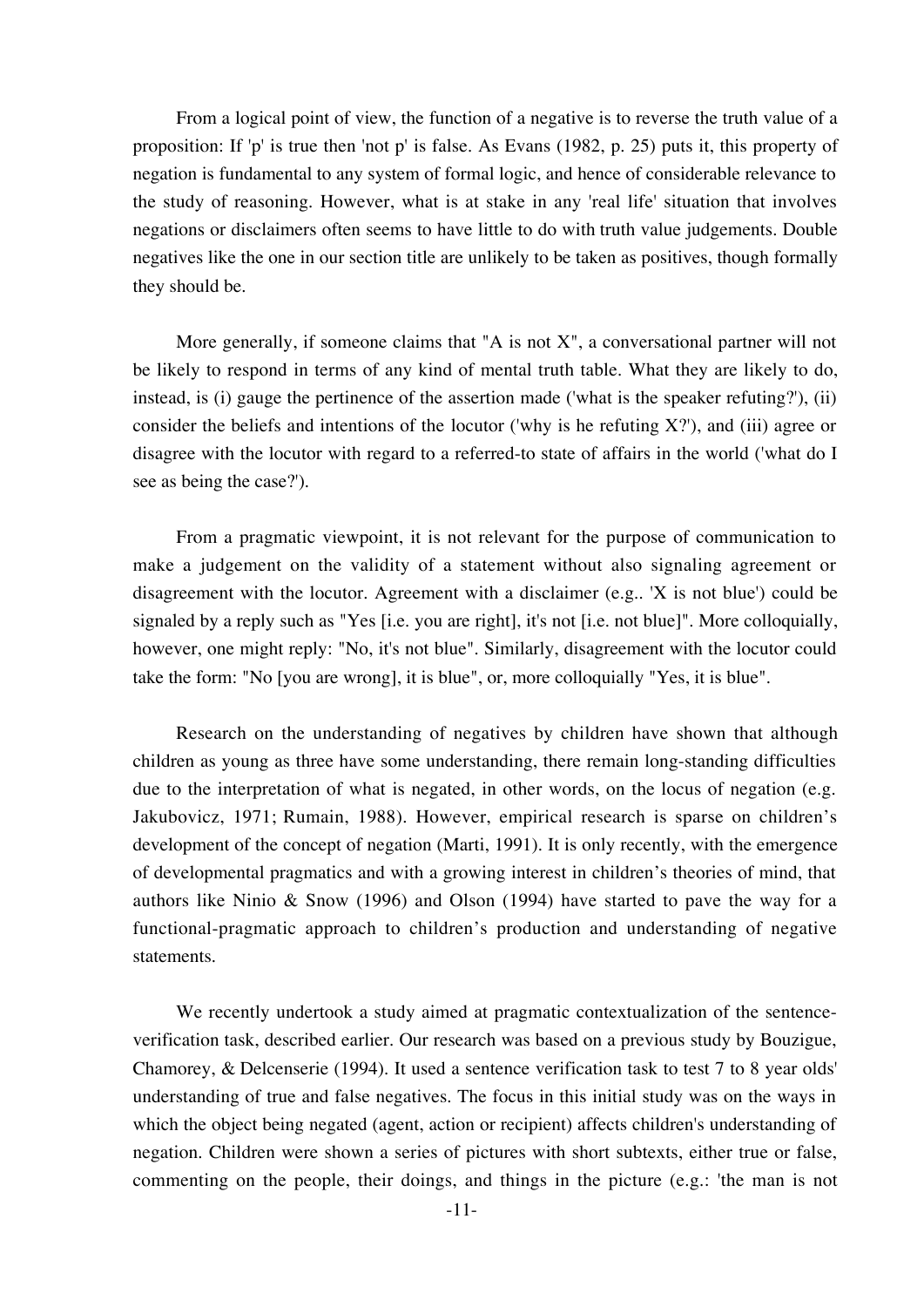From a logical point of view, the function of a negative is to reverse the truth value of a proposition: If 'p' is true then 'not p' is false. As Evans (1982, p. 25) puts it, this property of negation is fundamental to any system of formal logic, and hence of considerable relevance to the study of reasoning. However, what is at stake in any 'real life' situation that involves negations or disclaimers often seems to have little to do with truth value judgements. Double negatives like the one in our section title are unlikely to be taken as positives, though formally they should be.

More generally, if someone claims that "A is not  $X$ ", a conversational partner will not be likely to respond in terms of any kind of mental truth table. What they are likely to do, instead, is (i) gauge the pertinence of the assertion made ('what is the speaker refuting?'), (ii) consider the beliefs and intentions of the locutor ('why is he refuting  $X$ ?'), and (iii) agree or disagree with the locutor with regard to a referred-to state of affairs in the world ('what do I see as being the case?').

From a pragmatic viewpoint, it is not relevant for the purpose of communication to make a judgement on the validity of a statement without also signaling agreement or disagreement with the locutor. Agreement with a disclaimer (e.g.. 'X is not blue') could be signaled by a reply such as "Yes [i.e. you are right], it's not [i.e. not blue]". More colloquially, however, one might reply: "No, it's not blue". Similarly, disagreement with the locutor could take the form: "No [you are wrong], it is blue", or, more colloquially "Yes, it is blue".

Research on the understanding of negatives by children have shown that although children as young as three have some understanding, there remain long-standing difficulties due to the interpretation of what is negated, in other words, on the locus of negation (e.g. Jakubovicz, 1971; Rumain, 1988). However, empirical research is sparse on children's development of the concept of negation (Marti, 1991). It is only recently, with the emergence of developmental pragmatics and with a growing interest in children's theories of mind, that authors like Ninio & Snow (1996) and Olson (1994) have started to pave the way for a functional-pragmatic approach to children's production and understanding of negative statements.

We recently undertook a study aimed at pragmatic contextualization of the sentenceverification task, described earlier. Our research was based on a previous study by Bouzigue, Chamorey, & Delcenserie (1994). It used a sentence verification task to test 7 to 8 year olds' understanding of true and false negatives. The focus in this initial study was on the ways in which the object being negated (agent, action or recipient) affects children's understanding of negation. Children were shown a series of pictures with short subtexts, either true or false, commenting on the people, their doings, and things in the picture (e.g.: 'the man is not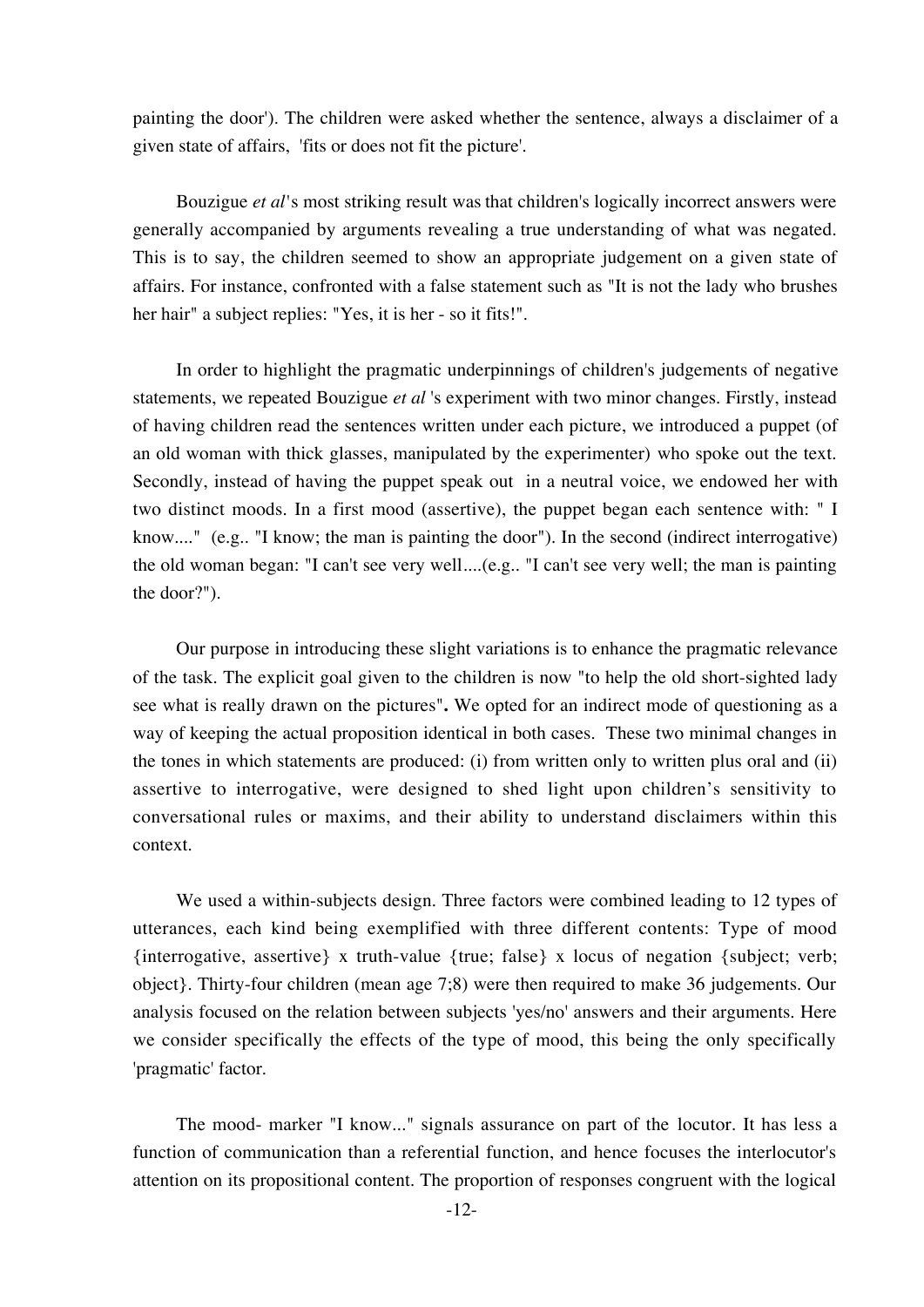painting the door'). The children were asked whether the sentence, always a disclaimer of a given state of affairs, 'fits or does not fit the picture'.

Bouzigue *et al'*s most striking result was that children's logically incorrect answers were generally accompanied by arguments revealing a true understanding of what was negated. This is to say, the children seemed to show an appropriate judgement on a given state of affairs. For instance, confronted with a false statement such as "It is not the lady who brushes her hair" a subject replies: "Yes, it is her - so it fits!".

In order to highlight the pragmatic underpinnings of children's judgements of negative statements, we repeated Bouzigue *et al* 's experiment with two minor changes. Firstly, instead of having children read the sentences written under each picture, we introduced a puppet (of an old woman with thick glasses, manipulated by the experimenter) who spoke out the text. Secondly, instead of having the puppet speak out in a neutral voice, we endowed her with two distinct moods. In a first mood (assertive), the puppet began each sentence with: " I know...." (e.g.. "I know; the man is painting the door"). In the second (indirect interrogative) the old woman began: "I can't see very well....(e.g.. "I can't see very well; the man is painting the door?").

Our purpose in introducing these slight variations is to enhance the pragmatic relevance of the task. The explicit goal given to the children is now "to help the old short-sighted lady see what is really drawn on the pictures"**.** We opted for an indirect mode of questioning as a way of keeping the actual proposition identical in both cases. These two minimal changes in the tones in which statements are produced: (i) from written only to written plus oral and (ii) assertive to interrogative, were designed to shed light upon children's sensitivity to conversational rules or maxims, and their ability to understand disclaimers within this context.

We used a within-subjects design. Three factors were combined leading to 12 types of utterances, each kind being exemplified with three different contents: Type of mood {interrogative, assertive} x truth-value {true; false} x locus of negation {subject; verb; object}. Thirty-four children (mean age 7;8) were then required to make 36 judgements. Our analysis focused on the relation between subjects 'yes/no' answers and their arguments. Here we consider specifically the effects of the type of mood, this being the only specifically 'pragmatic' factor.

The mood- marker "I know..." signals assurance on part of the locutor. It has less a function of communication than a referential function, and hence focuses the interlocutor's attention on its propositional content. The proportion of responses congruent with the logical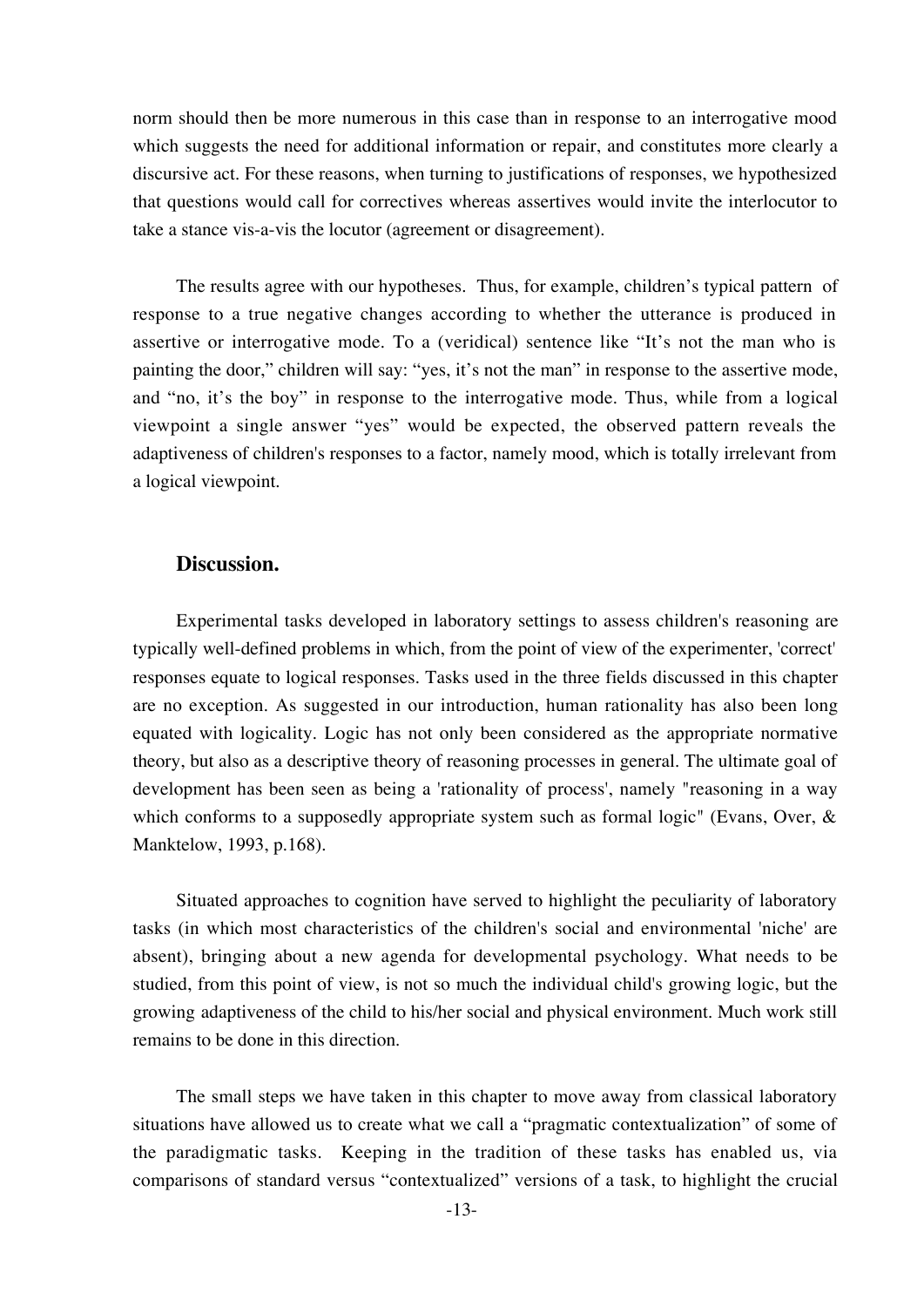norm should then be more numerous in this case than in response to an interrogative mood which suggests the need for additional information or repair, and constitutes more clearly a discursive act. For these reasons, when turning to justifications of responses, we hypothesized that questions would call for correctives whereas assertives would invite the interlocutor to take a stance vis-a-vis the locutor (agreement or disagreement).

The results agree with our hypotheses. Thus, for example, children's typical pattern of response to a true negative changes according to whether the utterance is produced in assertive or interrogative mode. To a (veridical) sentence like "It's not the man who is painting the door," children will say: "yes, it's not the man" in response to the assertive mode, and "no, it's the boy" in response to the interrogative mode. Thus, while from a logical viewpoint a single answer "yes" would be expected, the observed pattern reveals the adaptiveness of children's responses to a factor, namely mood, which is totally irrelevant from a logical viewpoint.

## **Discussion.**

Experimental tasks developed in laboratory settings to assess children's reasoning are typically well-defined problems in which, from the point of view of the experimenter, 'correct' responses equate to logical responses. Tasks used in the three fields discussed in this chapter are no exception. As suggested in our introduction, human rationality has also been long equated with logicality. Logic has not only been considered as the appropriate normative theory, but also as a descriptive theory of reasoning processes in general. The ultimate goal of development has been seen as being a 'rationality of process', namely "reasoning in a way which conforms to a supposedly appropriate system such as formal logic" (Evans, Over, & Manktelow, 1993, p.168).

Situated approaches to cognition have served to highlight the peculiarity of laboratory tasks (in which most characteristics of the children's social and environmental 'niche' are absent), bringing about a new agenda for developmental psychology. What needs to be studied, from this point of view, is not so much the individual child's growing logic, but the growing adaptiveness of the child to his/her social and physical environment. Much work still remains to be done in this direction.

The small steps we have taken in this chapter to move away from classical laboratory situations have allowed us to create what we call a "pragmatic contextualization" of some of the paradigmatic tasks. Keeping in the tradition of these tasks has enabled us, via comparisons of standard versus "contextualized" versions of a task, to highlight the crucial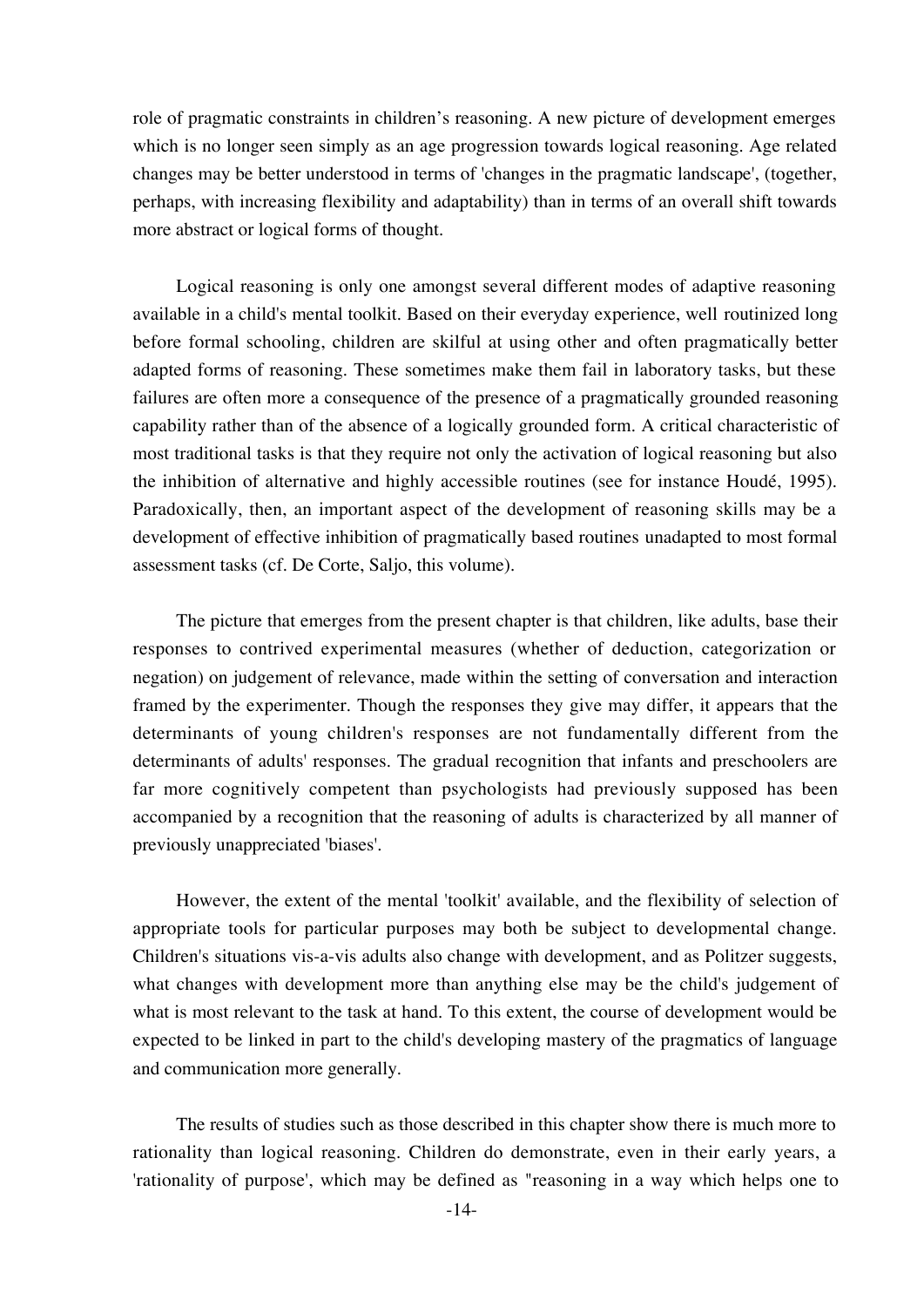role of pragmatic constraints in children's reasoning. A new picture of development emerges which is no longer seen simply as an age progression towards logical reasoning. Age related changes may be better understood in terms of 'changes in the pragmatic landscape', (together, perhaps, with increasing flexibility and adaptability) than in terms of an overall shift towards more abstract or logical forms of thought.

Logical reasoning is only one amongst several different modes of adaptive reasoning available in a child's mental toolkit. Based on their everyday experience, well routinized long before formal schooling, children are skilful at using other and often pragmatically better adapted forms of reasoning. These sometimes make them fail in laboratory tasks, but these failures are often more a consequence of the presence of a pragmatically grounded reasoning capability rather than of the absence of a logically grounded form. A critical characteristic of most traditional tasks is that they require not only the activation of logical reasoning but also the inhibition of alternative and highly accessible routines (see for instance Houdé, 1995). Paradoxically, then, an important aspect of the development of reasoning skills may be a development of effective inhibition of pragmatically based routines unadapted to most formal assessment tasks (cf. De Corte, Saljo, this volume).

The picture that emerges from the present chapter is that children, like adults, base their responses to contrived experimental measures (whether of deduction, categorization or negation) on judgement of relevance, made within the setting of conversation and interaction framed by the experimenter. Though the responses they give may differ, it appears that the determinants of young children's responses are not fundamentally different from the determinants of adults' responses. The gradual recognition that infants and preschoolers are far more cognitively competent than psychologists had previously supposed has been accompanied by a recognition that the reasoning of adults is characterized by all manner of previously unappreciated 'biases'.

However, the extent of the mental 'toolkit' available, and the flexibility of selection of appropriate tools for particular purposes may both be subject to developmental change. Children's situations vis-a-vis adults also change with development, and as Politzer suggests, what changes with development more than anything else may be the child's judgement of what is most relevant to the task at hand. To this extent, the course of development would be expected to be linked in part to the child's developing mastery of the pragmatics of language and communication more generally.

The results of studies such as those described in this chapter show there is much more to rationality than logical reasoning. Children do demonstrate, even in their early years, a 'rationality of purpose', which may be defined as "reasoning in a way which helps one to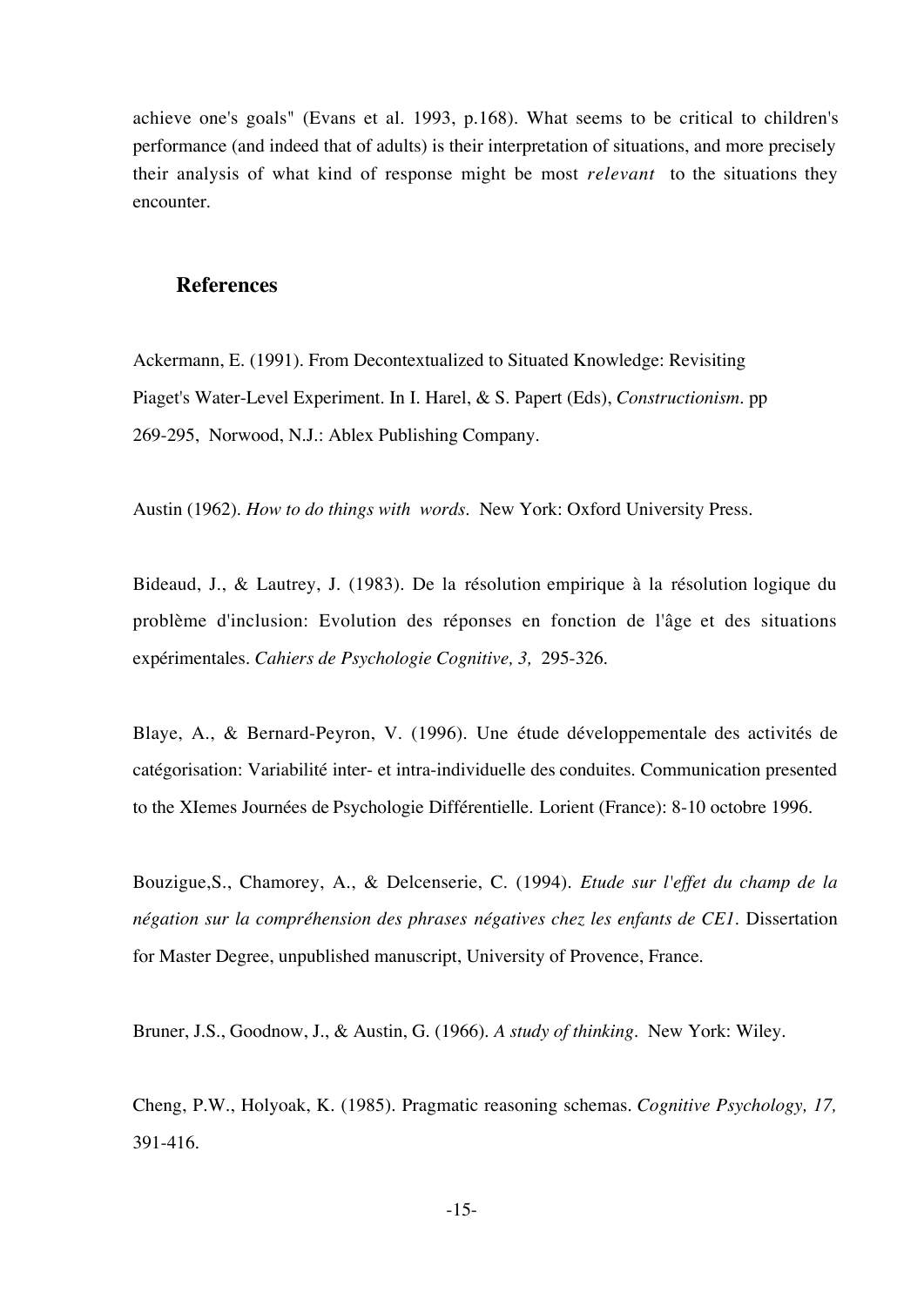achieve one's goals" (Evans et al. 1993, p.168). What seems to be critical to children's performance (and indeed that of adults) is their interpretation of situations, and more precisely their analysis of what kind of response might be most *relevant* to the situations they encounter.

## **References**

Ackermann, E. (1991). From Decontextualized to Situated Knowledge: Revisiting Piaget's Water-Level Experiment. In I. Harel, & S. Papert (Eds), *Constructionism*. pp 269-295, Norwood, N.J.: Ablex Publishing Company.

Austin (1962). *How to do things with words.* New York: Oxford University Press.

Bideaud, J., & Lautrey, J. (1983). De la résolution empirique à la résolution logique du problème d'inclusion: Evolution des réponses en fonction de l'âge et des situations expérimentales. *Cahiers de Psychologie Cognitive, 3,* 295-326.

Blaye, A., & Bernard-Peyron, V. (1996). Une étude développementale des activités de catégorisation: Variabilité inter- et intra-individuelle des conduites. Communication presented to the XIemes Journées de Psychologie Différentielle. Lorient (France): 8-10 octobre 1996.

Bouzigue,S., Chamorey, A., & Delcenserie, C. (1994). *Etude sur l'effet du champ de la négation sur la compréhension des phrases négatives chez les enfants de CE1*. Dissertation for Master Degree, unpublished manuscript, University of Provence, France.

Bruner, J.S., Goodnow, J., & Austin, G. (1966). *A study of thinking.* New York: Wiley.

Cheng, P.W., Holyoak, K. (1985). Pragmatic reasoning schemas. *Cognitive Psychology, 17,* 391-416.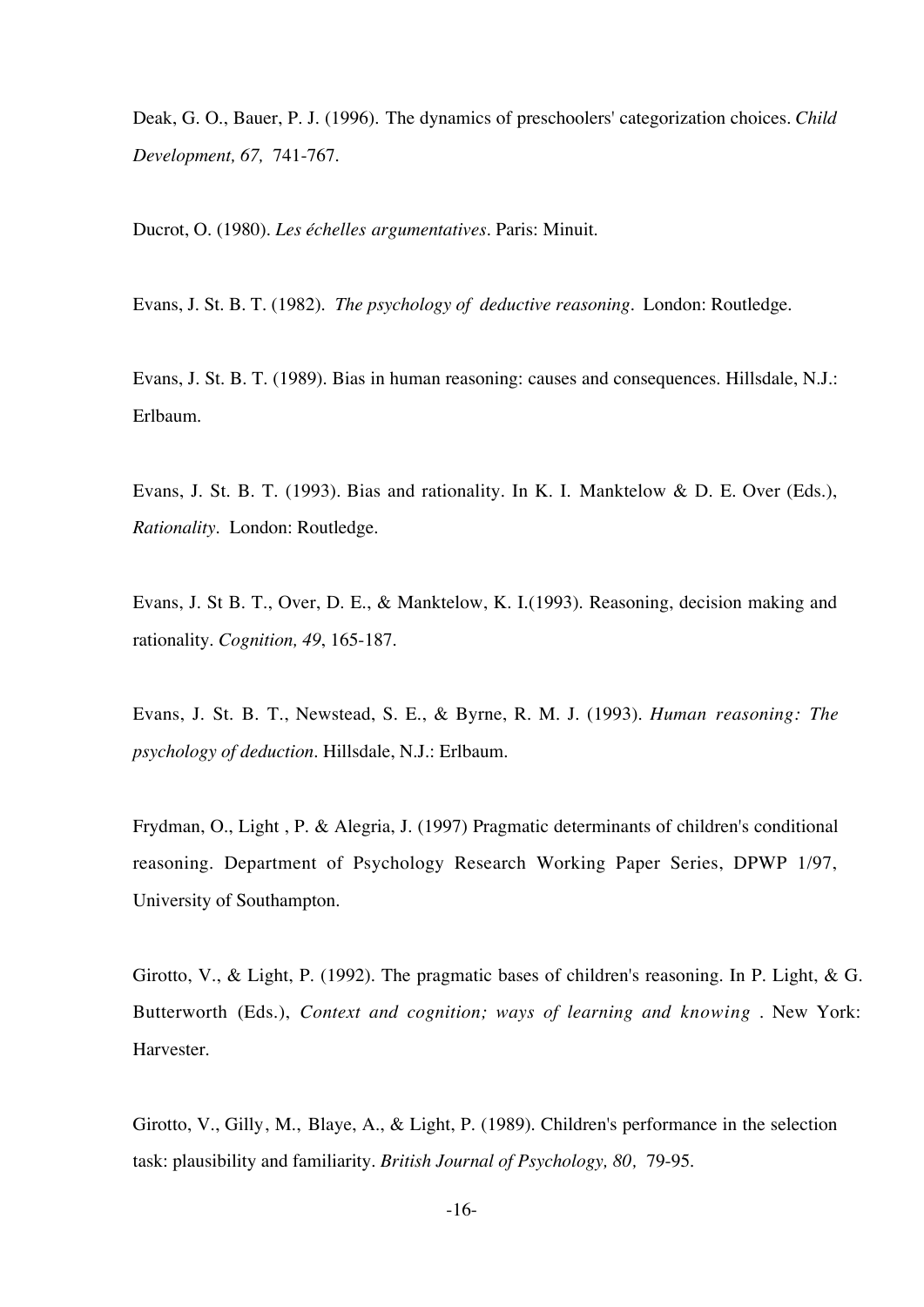Deak, G. O., Bauer, P. J. (1996). The dynamics of preschoolers' categorization choices. *Child Development, 67,* 741-767.

Ducrot, O. (1980). *Les échelles argumentatives*. Paris: Minuit.

Evans, J. St. B. T. (1982). *The psychology of deductive reasoning.* London: Routledge.

Evans, J. St. B. T. (1989). Bias in human reasoning: causes and consequences. Hillsdale, N.J.: Erlbaum.

Evans, J. St. B. T. (1993). Bias and rationality. In K. I. Manktelow & D. E. Over (Eds.), *Rationality.* London: Routledge.

Evans, J. St B. T., Over, D. E., & Manktelow, K. I.(1993). Reasoning, decision making and rationality. *Cognition, 49*, 165-187.

Evans, J. St. B. T., Newstead, S. E., & Byrne, R. M. J. (1993). *Human reasoning: The psychology of deduction*. Hillsdale, N.J.: Erlbaum.

Frydman, O., Light , P. & Alegria, J. (1997) Pragmatic determinants of children's conditional reasoning. Department of Psychology Research Working Paper Series, DPWP 1/97, University of Southampton.

Girotto, V., & Light, P. (1992). The pragmatic bases of children's reasoning. In P. Light, & G. Butterworth (Eds.), *Context and cognition; ways of learning and knowing* . New York: Harvester.

Girotto, V., Gilly, M., Blaye, A., & Light, P. (1989). Children's performance in the selection task: plausibility and familiarity. *British Journal of Psychology, 80,* 79-95.

-16-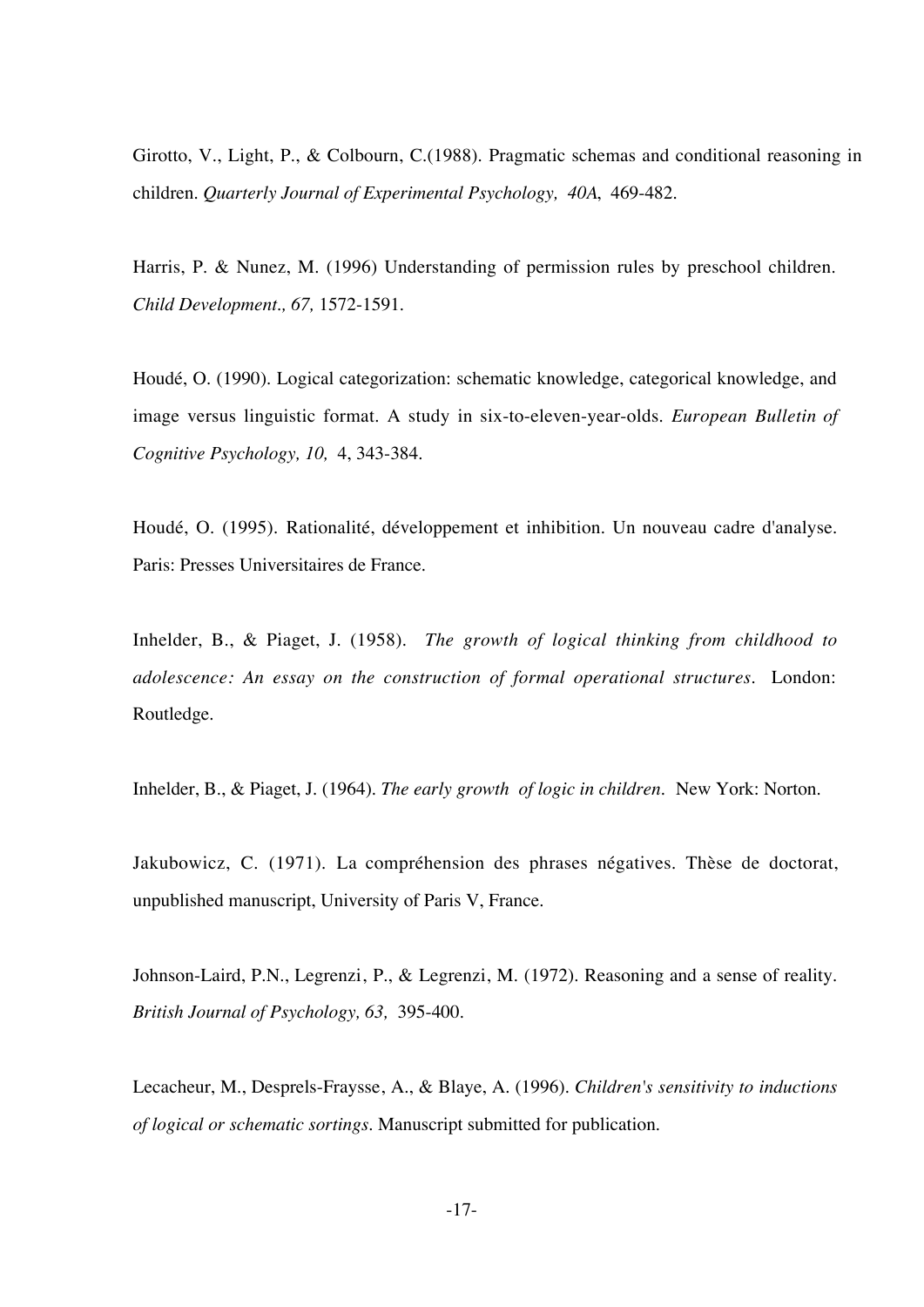Girotto, V., Light, P., & Colbourn, C.(1988). Pragmatic schemas and conditional reasoning in children. *Quarterly Journal of Experimental Psychology, 40A*, 469-482.

Harris, P. & Nunez, M. (1996) Understanding of permission rules by preschool children. *Child Development., 67,* 1572-1591.

Houdé, O. (1990). Logical categorization: schematic knowledge, categorical knowledge, and image versus linguistic format. A study in six-to-eleven-year-olds. *European Bulletin of Cognitive Psychology, 10,* 4, 343-384.

Houdé, O. (1995). Rationalité, développement et inhibition. Un nouveau cadre d'analyse. Paris: Presses Universitaires de France.

Inhelder, B., & Piaget, J. (1958). *The growth of logical thinking from childhood to adolescence: An essay on the construction of formal operational structures.* London: Routledge.

Inhelder, B., & Piaget, J. (1964). *The early growth of logic in children.* New York: Norton.

Jakubowicz, C. (1971). La compréhension des phrases négatives. Thèse de doctorat, unpublished manuscript, University of Paris V, France.

Johnson-Laird, P.N., Legrenzi, P., & Legrenzi, M. (1972). Reasoning and a sense of reality. *British Journal of Psychology, 63,* 395-400.

Lecacheur, M., Desprels-Fraysse, A., & Blaye, A. (1996). *Children's sensitivity to inductions of logical or schematic sortings*. Manuscript submitted for publication.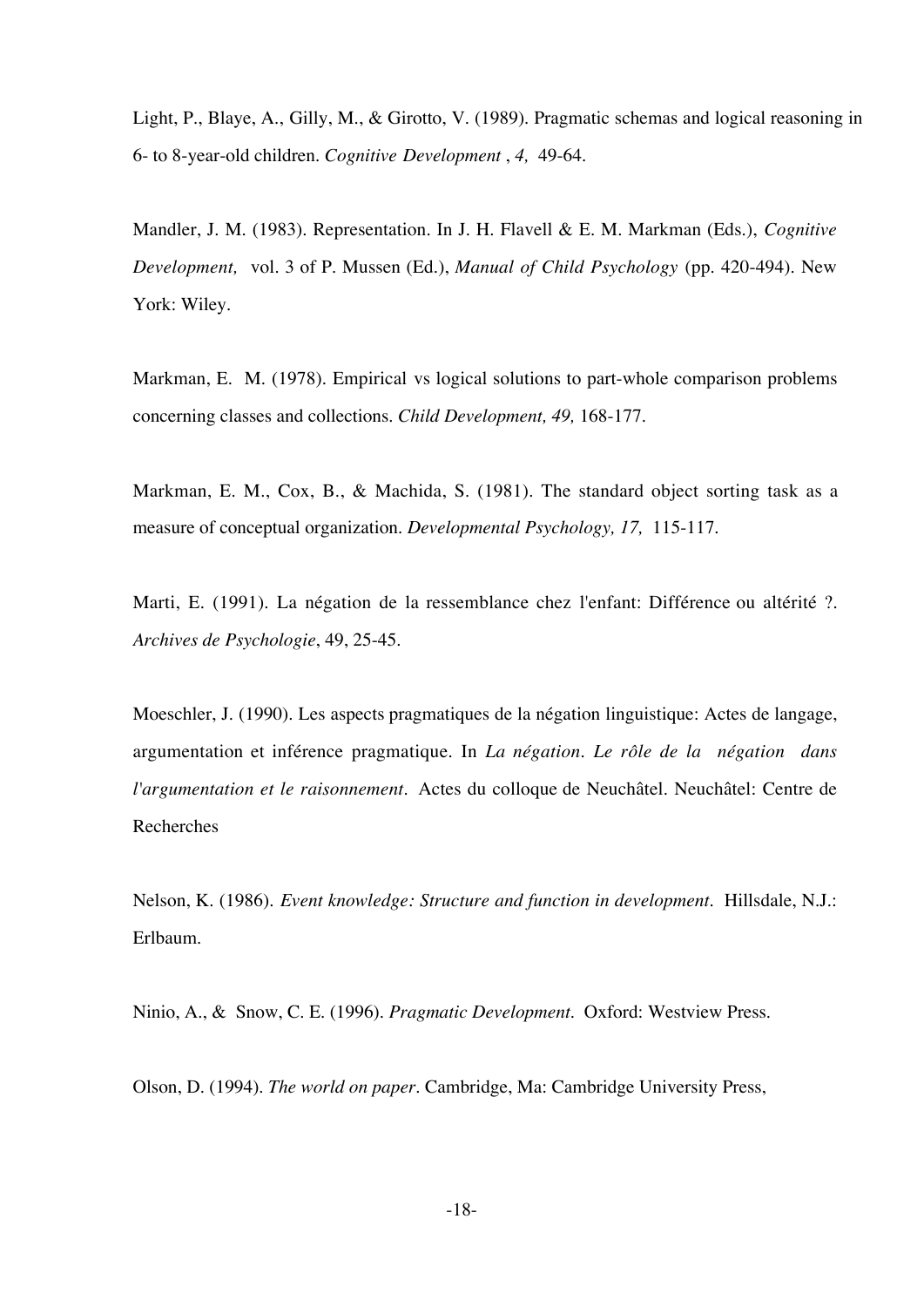Light, P., Blaye, A., Gilly, M., & Girotto, V. (1989). Pragmatic schemas and logical reasoning in 6- to 8-year-old children. *Cognitive Development* , *4,* 49-64.

Mandler, J. M. (1983). Representation. In J. H. Flavell & E. M. Markman (Eds.), *Cognitive Development,* vol. 3 of P. Mussen (Ed.), *Manual of Child Psychology* (pp. 420-494). New York: Wiley.

Markman, E. M. (1978). Empirical vs logical solutions to part-whole comparison problems concerning classes and collections. *Child Development, 49,* 168-177.

Markman, E. M., Cox, B., & Machida, S. (1981). The standard object sorting task as a measure of conceptual organization. *Developmental Psychology, 17,* 115-117.

Marti, E. (1991). La négation de la ressemblance chez l'enfant: Différence ou altérité ?. *Archives de Psychologie*, 49, 25-45.

Moeschler, J. (1990). Les aspects pragmatiques de la négation linguistique: Actes de langage, argumentation et inférence pragmatique. In *La négation. Le rôle de la négation dans l'argumentation et le raisonnement.* Actes du colloque de Neuchâtel. Neuchâtel: Centre de Recherches

Nelson, K. (1986). *Event knowledge: Structure and function in development.* Hillsdale, N.J.: Erlbaum.

Ninio, A., & Snow, C. E. (1996). *Pragmatic Development*. Oxford: Westview Press.

Olson, D. (1994). *The world on paper*. Cambridge, Ma: Cambridge University Press,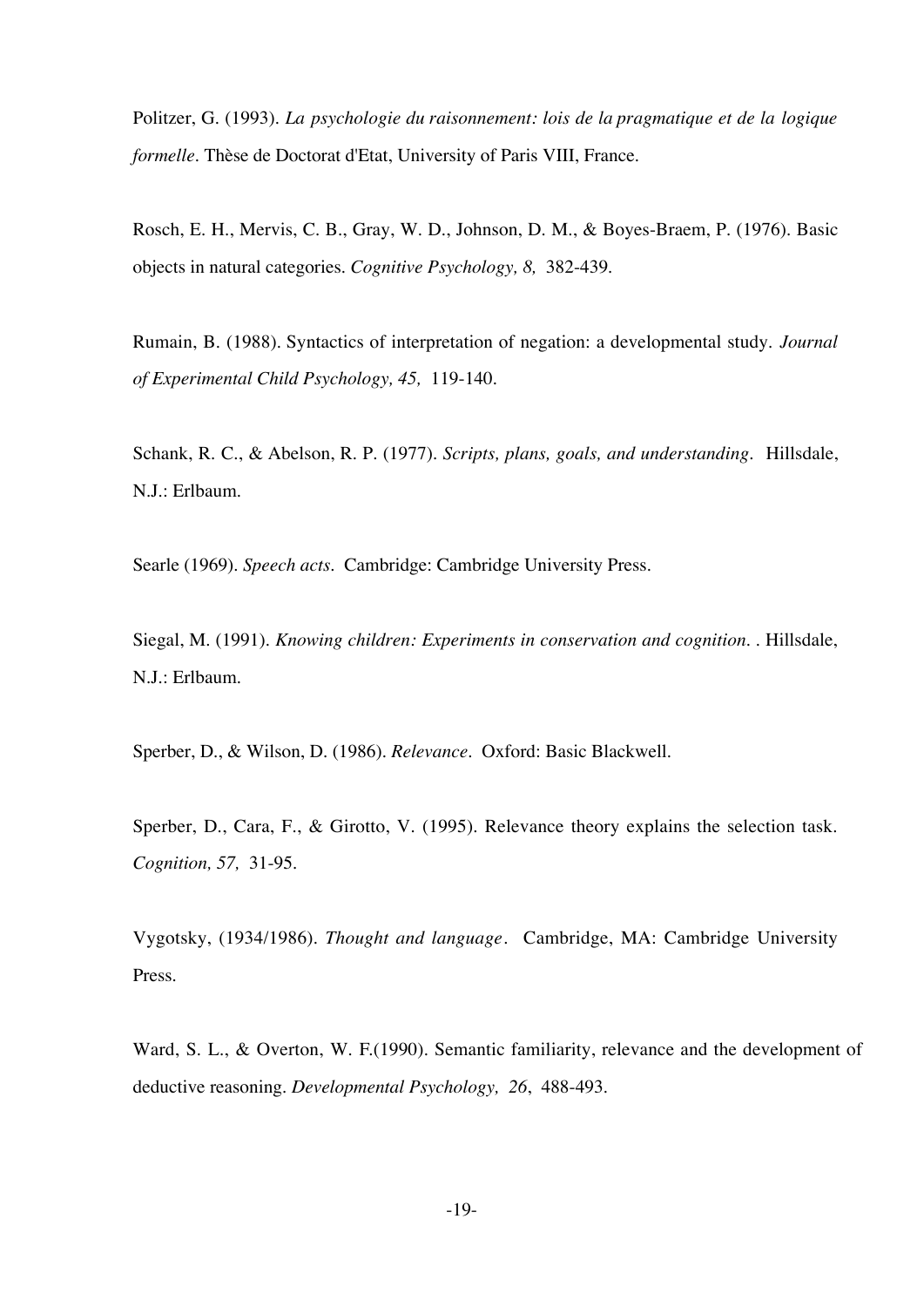Politzer, G. (1993). *La psychologie du raisonnement: lois de la pragmatique et de la logique formelle.* Thèse de Doctorat d'Etat, University of Paris VIII, France.

Rosch, E. H., Mervis, C. B., Gray, W. D., Johnson, D. M., & Boyes-Braem, P. (1976). Basic objects in natural categories. *Cognitive Psychology, 8,* 382-439.

Rumain, B. (1988). Syntactics of interpretation of negation: a developmental study. *Journal of Experimental Child Psychology, 45,* 119-140.

Schank, R. C., & Abelson, R. P. (1977). *Scripts, plans, goals, and understanding.* Hillsdale, N.J.: Erlbaum.

Searle (1969). *Speech acts.* Cambridge: Cambridge University Press.

Siegal, M. (1991). *Knowing children: Experiments in conservation and cognition*. . Hillsdale, N.J.: Erlbaum.

Sperber, D., & Wilson, D. (1986). *Relevance.* Oxford: Basic Blackwell.

Sperber, D., Cara, F., & Girotto, V. (1995). Relevance theory explains the selection task. *Cognition, 57,* 31-95.

Vygotsky, (1934/1986). *Thought and language*. Cambridge, MA: Cambridge University Press.

Ward, S. L., & Overton, W. F.(1990). Semantic familiarity, relevance and the development of deductive reasoning. *Developmental Psychology, 26*, 488-493.